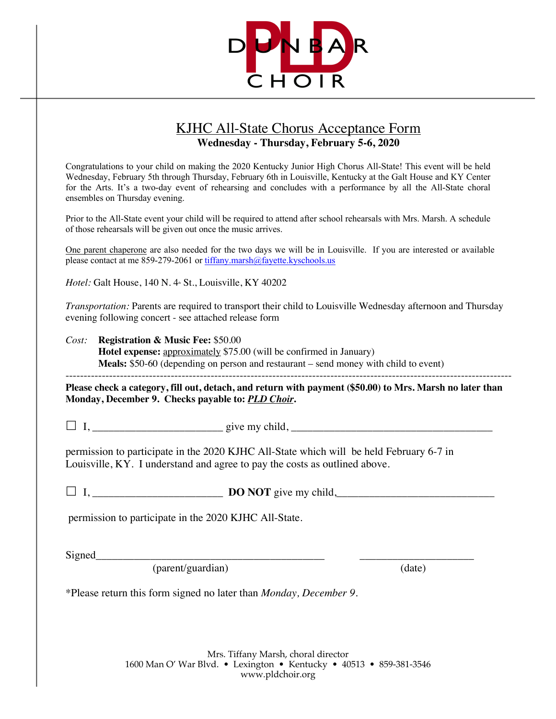

## KJHC All-State Chorus Acceptance Form **Wednesday - Thursday, February 5-6, 2020**

Congratulations to your child on making the 2020 Kentucky Junior High Chorus All-State! This event will be held Wednesday, February 5th through Thursday, February 6th in Louisville, Kentucky at the Galt House and KY Center for the Arts. It's a two-day event of rehearsing and concludes with a performance by all the All-State choral ensembles on Thursday evening.

Prior to the All-State event your child will be required to attend after school rehearsals with Mrs. Marsh. A schedule of those rehearsals will be given out once the music arrives.

One parent chaperone are also needed for the two days we will be in Louisville. If you are interested or available please contact at me 859-279-2061 or tiffany.marsh@fayette.kyschools.us

*Hotel:* Galt House, 140 N. 4 St., Louisville, KY 40202

*Transportation:* Parents are required to transport their child to Louisville Wednesday afternoon and Thursday evening following concert - see attached release form

*Cost:* **Registration & Music Fee:** \$50.00 **Hotel expense:** approximately \$75.00 (will be confirmed in January) **Meals:** \$50-60 (depending on person and restaurant – send money with child to event) ---------------------------------------------------------------------------------------------------------------------------

**Please check a category, fill out, detach, and return with payment (\$50.00) to Mrs. Marsh no later than Monday, December 9. Checks payable to:** *PLD Choir***.**

£ I, \_\_\_\_\_\_\_\_\_\_\_\_\_\_\_\_\_\_\_\_\_\_\_\_ give my child, \_\_\_\_\_\_\_\_\_\_\_\_\_\_\_\_\_\_\_\_\_\_\_\_\_\_\_\_\_\_\_\_\_\_\_\_\_

permission to participate in the 2020 KJHC All-State which will be held February 6-7 in Louisville, KY. I understand and agree to pay the costs as outlined above.

£ I, \_\_\_\_\_\_\_\_\_\_\_\_\_\_\_\_\_\_\_\_\_\_\_\_ **DO NOT** give my child,\_\_\_\_\_\_\_\_\_\_\_\_\_\_\_\_\_\_\_\_\_\_\_\_\_\_\_\_\_

permission to participate in the 2020 KJHC All-State.

Signed\_\_\_\_\_\_\_\_\_\_\_\_\_\_\_\_\_\_\_\_\_\_\_\_\_\_\_\_\_\_\_\_\_\_\_\_\_\_\_\_\_\_ \_\_\_\_\_\_\_\_\_\_\_\_\_\_\_\_\_\_\_\_\_

(parent/guardian) (date)

\*Please return this form signed no later than *Monday, December 9.*

Mrs. Tiffany Marsh, choral director 1600 Man O' War Blvd. • Lexington • Kentucky • 40513 • 859-381-3546 www.pldchoir.org